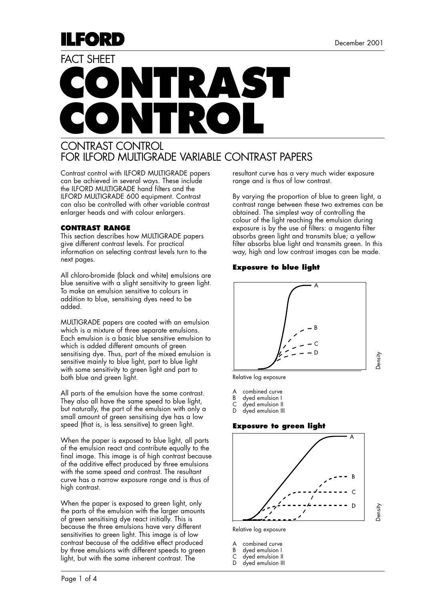

# **CONTRAST CONTROL** FACT SHEET

### CONTRAST CONTROL FOR ILFORD MULTIGRADE VARIABLE CONTRAST PAPERS

Contrast control with ILFORD MULTIGRADE papers can be achieved in several ways. These include the ILFORD MULTIGRADE hand filters and the ILFORD MULTIGRADE 600 equipment. Contrast can also be controlled with other variable contrast enlarger heads and with colour enlargers.

#### **CONTRAST RANGE**

This section describes how MULTIGRADE papers give different contrast levels. For practical information on selecting contrast levels turn to the next pages.

All chloro-bromide (black and white) emulsions are blue sensitive with a slight sensitivity to green light. To make an emulsion sensitive to colours in addition to blue, sensitising dyes need to be added.

MULTIGRADE papers are coated with an emulsion which is a mixture of three separate emulsions. Each emulsion is a basic blue sensitive emulsion to which is added different amounts of green sensitising dye. Thus, part of the mixed emulsion is sensitive mainly to blue light, part to blue light with some sensitivity to green light and part to both blue and green light.

All parts of the emulsion have the same contrast. They also all have the same speed to blue light, but naturally, the part of the emulsion with only a small amount of green sensitising dye has a low speed (that is, is less sensitive) to green light.

When the paper is exposed to blue light, all parts of the emulsion react and contribute equally to the final image. This image is of high contrast because of the additive effect produced by three emulsions with the same speed and contrast. The resultant curve has a narrow exposure range and is thus of high contrast.

When the paper is exposed to green light, only the parts of the emulsion with the larger amounts of green sensitising dye react initially. This is because the three emulsions have very different sensitivities to green light. This image is of low contrast because of the additive effect produced by three emulsions with different speeds to green light, but with the same inherent contrast. The

resultant curve has a very much wider exposure range and is thus of low contrast.

By varying the proportion of blue to green light, a contrast range between these two extremes can be obtained. The simplest way of controlling the colour of the light reaching the emulsion during exposure is by the use of filters: a magenta filter absorbs green light and transmits blue; a yellow filter absorbs blue light and transmits green. In this way, high and low contrast images can be made.

#### **Exposure to blue light**



Relative log exposure

- A combined curve<br>B dyed emulsion I
- dyed emulsion I
- C dyed emulsion II<br>D dyed emulsion III dyed emulsion III

#### **Exposure to green light**



Relative log exposure

|   | A combined curve    |
|---|---------------------|
| D | الممندان ومطامعينام |

- B dyed emulsion I dyed emulsion II
- dyed emulsion III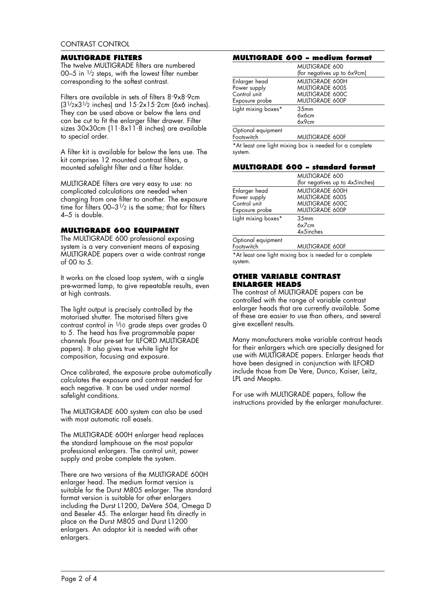#### **MULTIGRADE FILTERS**

The twelve MULTIGRADE filters are numbered 00–5 in 1/2 steps, with the lowest filter number corresponding to the softest contrast.

Filters are available in sets of filters 8.9x8.9cm  $(3^{1/2} \times 3^{1/2} \text{ inches})$  and  $15.2 \times 15.2 \text{cm}$  (6x6 inches). They can be used above or below the lens and can be cut to fit the enlarger filter drawer. Filter sizes 30x30cm (11. 8x11. 8 inches) are available to special order.

A filter kit is available for below the lens use. The kit comprises 12 mounted contrast filters, a mounted safelight filter and a filter holder.

MULTIGRADE filters are very easy to use: no complicated calculations are needed when changing from one filter to another. The exposure time for filters  $00-3^{1/2}$  is the same; that for filters 4–5 is double.

#### **MULTIGRADE 600 EQUIPMENT**

The MULTIGRADE 600 professional exposing system is a very convenient means of exposing MULTIGRADE papers over a wide contrast range of 00 to 5.

It works on the closed loop system, with a single pre-warmed lamp, to give repeatable results, even at high contrasts.

The light output is precisely controlled by the motorised shutter. The motorised filters give contrast control in 1/10 grade steps over grades 0 to 5. The head has five programmable paper channels (four pre-set for ILFORD MULTIGRADE papers). It also gives true white light for composition, focusing and exposure.

Once calibrated, the exposure probe automatically calculates the exposure and contrast needed for each negative. It can be used under normal safelight conditions.

The MULTIGRADE 600 system can also be used with most automatic roll easels.

The MULTIGRADE 600H enlarger head replaces the standard lamphouse on the most popular professional enlargers. The control unit, power supply and probe complete the system.

There are two versions of the MULTIGRADE 600H enlarger head. The medium format version is suitable for the Durst M805 enlarger. The standard format version is suitable for other enlargers including the Durst L1200, DeVere 504, Omega D and Beseler 45. The enlarger head fits directly in place on the Durst M805 and Durst L1200 enlargers. An adaptor kit is needed with other enlargers.

#### **MULTIGRADE 600 – medium format**

|                                                         | <b>MULTIGRADE 600</b>                                                      |  |  |  |  |
|---------------------------------------------------------|----------------------------------------------------------------------------|--|--|--|--|
|                                                         | (for negatives up to 6x9cm)                                                |  |  |  |  |
| Enlarger head<br>Power supply<br>Control unit           | <b>MULTIGRADE 600H</b><br><b>MULTIGRADE 600S</b><br><b>MULTIGRADE 600C</b> |  |  |  |  |
| Exposure probe                                          | <b>MULTIGRADE 600P</b>                                                     |  |  |  |  |
| Light mixing boxes*                                     | 35 <sub>mm</sub><br>6x6cm<br>6x9cm                                         |  |  |  |  |
| Optional equipment<br>Footswitch                        | <b>MULTIGRADE 600F</b>                                                     |  |  |  |  |
| *At least one light mixing box is needed for a complete |                                                                            |  |  |  |  |

\*At least one light mixing box is needed for a complete system.

#### **MULTIGRADE 600 – standard format**

|                                                                 | <b>MULTIGRADE 600</b><br>(for negatives up to 4x5inches)                                             |
|-----------------------------------------------------------------|------------------------------------------------------------------------------------------------------|
| Enlarger head<br>Power supply<br>Control unit<br>Exposure probe | <b>MULTIGRADE 600H</b><br><b>MULTIGRADE 600S</b><br><b>MULTIGRADE 600C</b><br><b>MULTIGRADE 600P</b> |
| Light mixing boxes*                                             | 35 <sub>mm</sub><br>6x7cm<br>4x5inches                                                               |
| Ontional equipment                                              |                                                                                                      |

Optional equipment Footswitch MULTIGRADE 600F

\*At least one light mixing box is needed for a complete system.

#### **OTHER VARIABLE CONTRAST ENLARGER HEADS**

The contrast of MULTIGRADE papers can be controlled with the range of variable contrast enlarger heads that are currently available. Some of these are easier to use than others, and several give excellent results.

Many manufacturers make variable contrast heads for their enlargers which are specially designed for use with MULTIGRADE papers. Enlarger heads that have been designed in conjunction with ILFORD include those from De Vere, Dunco, Kaiser, Leitz, LPL and Meopta.

For use with MULTIGRADE papers, follow the instructions provided by the enlarger manufacturer.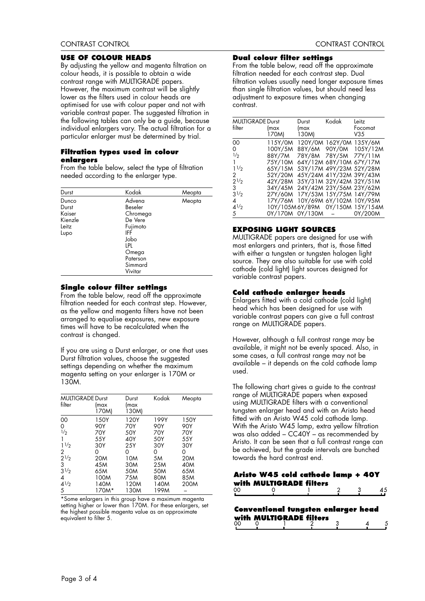#### **USE OF COLOUR HEADS**

By adjusting the yellow and magenta filtration on colour heads, it is possible to obtain a wide contrast range with MULTIGRADE papers. However, the maximum contrast will be slightly lower as the filters used in colour heads are optimised for use with colour paper and not with variable contrast paper. The suggested filtration in the following tables can only be a guide, because individual enlargers vary. The actual filtration for a particular enlarger must be determined by trial.

#### **Filtration types used in colour enlargers**

From the table below, select the type of filtration needed according to the enlarger type.

| Durst                                                | Kodak                                                                                                                 | Meopta |
|------------------------------------------------------|-----------------------------------------------------------------------------------------------------------------------|--------|
| Dunco<br>Durst<br>Kaiser<br>Kienzle<br>Leitz<br>Lupo | Advena<br>Beseler<br>Chromega<br>De Vere<br>Fujimoto<br>IFF<br>Jobo<br>LPL<br>Omega<br>Paterson<br>Simmard<br>Vivitar | Meopta |

#### **Single colour filter settings**

From the table below, read off the approximate filtration needed for each contrast step. However, as the yellow and magenta filters have not been arranged to equalise exposures, new exposure times will have to be recalculated when the contrast is changed.

If you are using a Durst enlarger, or one that uses Durst filtration values, choose the suggested settings depending on whether the maximum magenta setting on your enlarger is 170M or 130M.

| <b>MULTIGRADE Durst</b> |                 | Durst         | Kodak      | Meopta          |  |
|-------------------------|-----------------|---------------|------------|-----------------|--|
| filter                  | lmax<br>170M)   | (max<br>130M) |            |                 |  |
| 00                      | 150Y            | 120Y          | 199Y       | 150Y            |  |
| 0                       | 90Y             | 70Y           | 90Y        | 90Y             |  |
| 1/2                     | 70Y             | 50Y           | <b>70Y</b> | 70Y             |  |
| 1                       | 55Y             | 40Y           | 50Y        | 55Y             |  |
| $1\frac{1}{2}$          | 30Y             | 25Y           | 30Y        | 30Y             |  |
| 2                       | 0               | 0             | 0          | 0               |  |
| $2^{1/2}$               | 20 <sub>M</sub> | 10M           | 5M         | 20 <sub>M</sub> |  |
| 3                       | 45M             | 30M           | 25M        | 40M             |  |
| $3^{1/2}$               | 65M             | 50M           | 50M        | 65M             |  |
| 4                       | 100M            | 75M           | 80M        | 85M             |  |
| $4^{1/2}$               | 140M            | 120M          | 140M       | 200M            |  |
| 5                       | 170M*           | 130M          | 199M       |                 |  |

\*Some enlargers in this group have a maximum magenta setting higher or lower than 170M. For these enlargers, set the highest possible magenta value as an approximate equivalent to filter 5.

#### **Dual colour filter settings**

From the table below, read off the approximate filtration needed for each contrast step. Dual filtration values usually need longer exposure times than single filtration values, but should need less adjustment to exposure times when changing contrast.

| <b>MULTIGRADE Durst</b> |                                 | Durst                   | Kodak                   | Leitz                           |
|-------------------------|---------------------------------|-------------------------|-------------------------|---------------------------------|
| filter                  | (max                            | (max                    |                         | Focomat                         |
|                         | 170M) -                         | 130M)                   |                         | V35                             |
| 00                      | 115Y/0M                         |                         |                         | 120Y/0M 162Y/0M 135Y/6M         |
| 0                       | 100Y/5M                         |                         |                         | 88Y/6M 90Y/0M 105Y/12M          |
| 1/2                     | 88Y/7M                          |                         | 78Y/8M 78Y/5M 77Y/11M   |                                 |
| 1.                      | 75Y/10M                         |                         |                         | 64Y/12M 68Y/10M 67Y/17M         |
| 11/2                    | 65Y/15M                         |                         |                         | 53Y/17M 49Y/23M 52Y/28M         |
| 2                       | 52Y/20M                         |                         |                         | 45Y/24M 41Y/32M 39Y/43M         |
| 21/2                    | 42Y/28M                         |                         |                         | 35Y/31M 32Y/42M 32Y/51M         |
| 3                       | 34Y/45M 24Y/42M 23Y/56M 23Y/62M |                         |                         |                                 |
| 31/2                    | 27Y/60M                         | 17Y/53M 15Y/75M 14Y/79M |                         |                                 |
| 4                       | 17Y/76M                         |                         | 10Y/69M 6Y/102M 10Y/95M |                                 |
| 41/2                    |                                 |                         |                         | 10Y/105M6Y/89M 0Y/150M 15Y/154M |
| 5                       | 0Y/170M 0Y/130M - 0Y/200M       |                         |                         |                                 |

#### **EXPOSING LIGHT SOURCES**

MULTIGRADE papers are designed for use with most enlargers and printers, that is, those fitted with either a tungsten or tungsten halogen light source. They are also suitable for use with cold cathode (cold light) light sources designed for variable contrast papers.

#### **Cold cathode enlarger heads**

Enlargers fitted with a cold cathode (cold light) head which has been designed for use with variable contrast papers can give a full contrast range on MULTIGRADE papers.

However, although a full contrast range may be available, it might not be evenly spaced. Also, in some cases, a full contrast range may not be available – it depends on the cold cathode lamp used.

The following chart gives a guide to the contrast range of MULTIGRADE papers when exposed using MULTIGRADE filters with a conventional tungsten enlarger head and with an Aristo head fitted with an Aristo W45 cold cathode lamp. With the Aristo W45 lamp, extra yellow filtration was also added – CC40Y – as recommended by Aristo. It can be seen that a full contrast range can be achieved, but the grade intervals are bunched towards the hard contrast end.

#### Aristo W45 cold cathode lamp + 40Y with MULTIGRADE filters  $00\,$  $\Omega$ 45

| <b>Conventional tungsten enlarger head</b><br>with MULTIGRADE filters |  |  |  |  |  |  |  |
|-----------------------------------------------------------------------|--|--|--|--|--|--|--|
| ററ                                                                    |  |  |  |  |  |  |  |